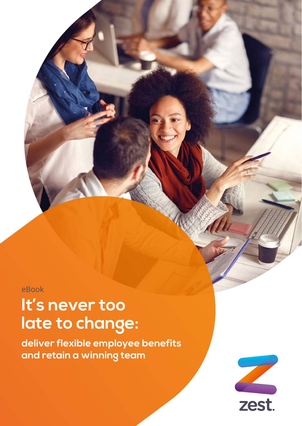eBook

# **It's never too late to change:**

**deliver flexible employee benefits and retain a winning team**

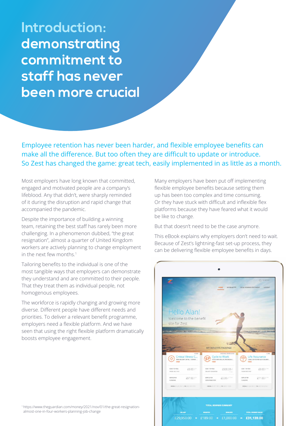**Introduction: demonstrating commitment to staff has never been more crucial** 

Employee retention has never been harder, and flexible employee benefits can make all the difference. But too often they are difficult to update or introduce. So Zest has changed the game: great tech, easily implemented in as little as a month.

Most employers have long known that committed, engaged and motivated people are a company's lifeblood. Any that didn't, were sharply reminded of it during the disruption and rapid change that accompanied the pandemic.

Despite the importance of building a winning team, retaining the best staff has rarely been more challenging. In a phenomenon dubbed, "the great resignation", almost a quarter of United Kingdom workers are actively planning to change employment in the next few months.<sup>1</sup>

Tailoring benefits to the individual is one of the most tangible ways that employers can demonstrate they understand and are committed to their people. That they treat them as individual people, not homogenous employees.

The workforce is rapidly changing and growing more diverse. Different people have different needs and priorities. To deliver a relevant benefit programme, employers need a flexible platform. And we have seen that using the right flexible platform dramatically boosts employee engagement.

1 https://www.theguardian.com/money/2021/nov/01/the-great-resignationalmost-one-in-four-workers-planning-job-change

Many employers have been put off implementing flexible employee benefits because setting them up has been too complex and time consuming. Or they have stuck with difficult and inflexible flex platforms because they have feared what it would be like to change.

But that doesn't need to be the case anymore.

This eBook explains why employers don't need to wait. Because of Zest's lightning-fast set-up process, they can be delivering flexible employee benefits in days.

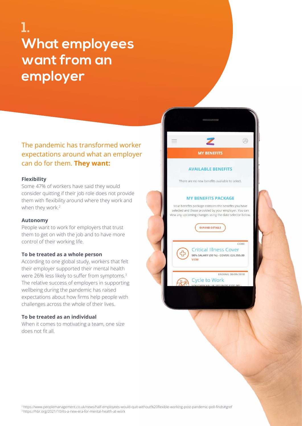## **1. What employees want from an employer**

### The pandemic has transformed worker expectations around what an employer can do for them. **They want:**

#### **Flexibility**

Some 47% of workers have said they would consider quitting if their job role does not provide them with flexibility around where they work and when they work.<sup>2</sup>

#### **Autonomy**

People want to work for employers that trust them to get on with the job and to have more control of their working life.

#### **To be treated as a whole person**

According to one global study, workers that felt their employer supported their mental health were 26% less likely to suffer from symptoms.<sup>3</sup> The relative success of employers in supporting wellbeing during the pandemic has raised expectations about how firms help people with challenges across the whole of their lives.

#### **To be treated as an individual**

When it comes to motivating a team, one size does not fit all.



#### **AVAILABLE BENEFITS**

There are no new benefits available to select.

#### **MY BENEFITS PACKAGE**

Your benefits package contains the benefits you have selected and those provided by your employer. You can view any upcoming changes using the date selector below.

**EXPAND DETAILS** 

**Critical Illness Cover** 

**Cycle to Work** 

90% SALARY (90 %) - COVER: £26,955.00

¢

**VIEW** 

 $CORF$ 

ENDING 30/09/2018

<sup>2</sup>https://www.peoplemanagement.co.uk/news/half-employees-would-quit-without%20flexible-working-post-pandemic-poll-finds#gref 3 https://hbr.org/2021/10/its-a-new-era-for-mental-health-at-work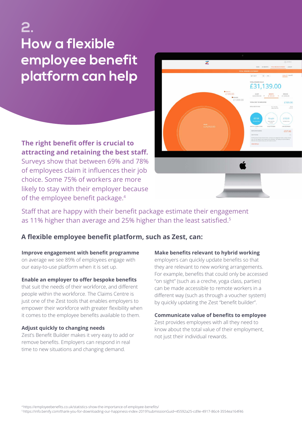## **2. How a flexible employee benefit platform can help**

**The right benefit offer is crucial to attracting and retaining the best staff.** Surveys show that between 69% and 78% of employees claim it influences their job choice. Some 75% of workers are more likely to stay with their employer because of the employee benefit package.<sup>4</sup>



Staff that are happy with their benefit package estimate their engagement as 11% higher than average and 25% higher than the least satisfied.5

### **A flexible employee benefit platform, such as Zest, can:**

#### **Improve engagement with benefit programme**

on average we see 89% of employees engage with our easy-to-use platform when it is set up.

#### **Enable an employer to offer bespoke benefits**

that suit the needs of their workforce, and different people within the workforce. The Claims Centre is just one of the Zest tools that enables employers to empower their workforce with greater flexibility when it comes to the employee benefits available to them.

#### **Adjust quickly to changing needs**

Zest's Benefit Builder makes it very easy to add or remove benefits. Employers can respond in real time to new situations and changing demand.

#### **Make benefits relevant to hybrid working**

employers can quickly update benefits so that they are relevant to new working arrangements. For example, benefits that could only be accessed "on sight" (such as a creche, yoga class, parties) can be made accessible to remote workers in a different way (such as through a voucher system) by quickly updating the Zest "benefit builder".

#### **Communicate value of benefits to employee**

Zest provides employees with all they need to know about the total value of their employment, not just their individual rewards.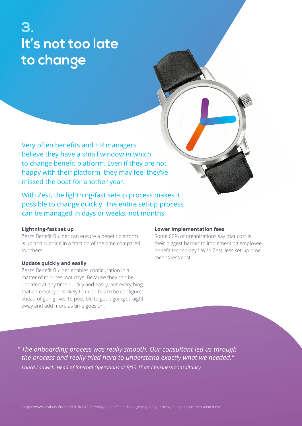### **3. It's not too late to change**

Very often benefits and HR managers believe they have a small window in which to change benefit platform. Even if they are not happy with their platform, they may feel they've missed the boat for another year.

With Zest, the lightning-fast set-up process makes it possible to change quickly. The entire set-up process can be managed in days or weeks, not months.

#### **Lightning-fast set up**

Zest's Benefit Builder can ensure a benefit platform is up and running in a fraction of the time compared to others.

#### **Update quickly and easily**

Zest's Benefit Builder enables configuration in a matter of minutes, not days. Because they can be updated at any time quickly and easily, not everything that an employer is likely to need has to be configured ahead of going live. It's possible to get it going straight away and add more as time goes on.

#### **Lower implementation fees**

Some 60% of organisations say that cost is their biggest barrier to implementing employee benefit technology.<sup>6</sup> With Zest, less set-up time means less cost.

*" The onboarding process was really smooth. Our consultant led us through the process and really tried hard to understand exactly what we needed." Laura Lodwick, Head of Internal Operations at BJSS, IT and business consultancy*